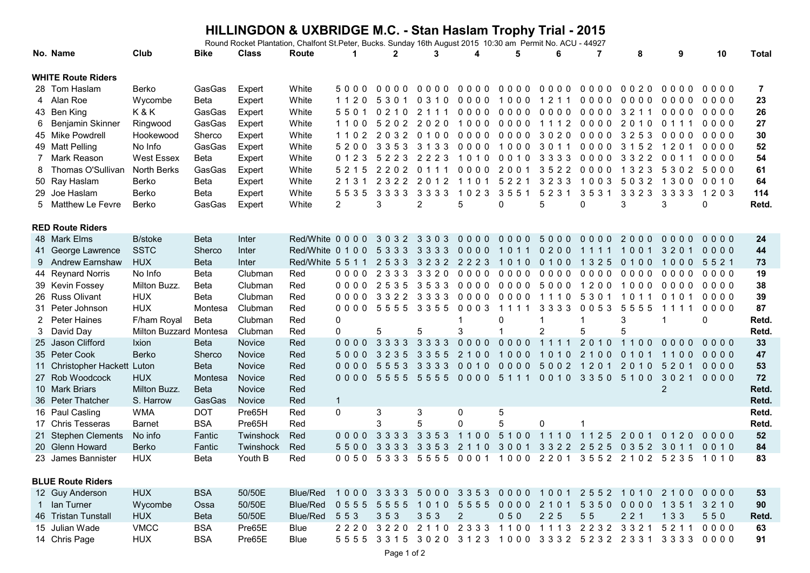## **HILLINGDON & UXBRIDGE M.C. - Stan Haslam Trophy Trial - 2015**

Round Rocket Plantation, Chalfont St.Peter, Bucks. Sunday 16th August 2015 10:30 am Permit No. ACU - 44927

|                           | No. Name                     | Club                   | <b>Bike</b> | <b>Class</b> | Route                     | $\mathbf 1$  | $\mathbf{2}$ | 3              |           | 5         | 6         | 7         | 8                        | 9                       | 10     | <b>Total</b> |
|---------------------------|------------------------------|------------------------|-------------|--------------|---------------------------|--------------|--------------|----------------|-----------|-----------|-----------|-----------|--------------------------|-------------------------|--------|--------------|
| <b>WHITE Route Riders</b> |                              |                        |             |              |                           |              |              |                |           |           |           |           |                          |                         |        |              |
|                           | 28 Tom Haslam                | Berko                  | GasGas      | Expert       | White                     | 5000         | $0000$       | 0000           | 0000      | 0000      | 0000      | 0000      | 0020                     | 0000                    | 0000   | 7            |
| 4                         | Alan Roe                     | Wycombe                | Beta        | Expert       | White                     | 1120         | 5<br>3 0 1   | 0 3 1 0        | 0000      | 1000      | 1211      | 0000      | 0000                     | 0000                    | 0000   | 23           |
|                           | 43 Ben King                  | K&K                    | GasGas      | Expert       | White                     | 5501         | 0210         | 2 1 1 1        | 0000      | 0000      | 0000      | 0000      | 3211                     | 0000                    | 0000   | 26           |
| 6                         | Benjamin Skinner             | Ringwood               | GasGas      | Expert       | White                     | 1100         | 5202         | 2020           | 1000      | $0000$    | 1112      | $0000$    | 2010                     | 0 1 1 1                 | 0000   | 27           |
|                           | 45 Mike Powdrell             | Hookewood              | Sherco      | Expert       | White                     | 1102         | 2032         | 0100           | 0000      | 00003020  |           | 0000      | 3253                     | 0000                    | 0000   | 30           |
|                           | 49 Matt Pelling              | No Info                | GasGas      | Expert       | White                     | 5200         | 3353 3133    |                | 0000      | 1000 3011 |           | 0000      | 3 1 5 2                  | 1201                    | 0000   | 52           |
| 7                         | Mark Reason                  | <b>West Essex</b>      | <b>Beta</b> | Expert       | White                     | 0 1 2 3      | 5223 2223    |                | 1010      | 0010 3333 |           | 0000      | 3322                     | 0011                    | 0000   | 54           |
|                           | Thomas O'Sullivan            | North Berks            | GasGas      | Expert       | White                     | 5 2 1 5      | 2202         | 0 1 1 1        | 0000      | 2001      | 3522      | 0000      | 1 3 2 3                  | 5302                    | 5000   | 61           |
|                           | 50 Ray Haslam                | Berko                  | Beta        | Expert       | White                     | 2 1 3 1      | 2 3 2 2      | 2012           | 1101      | 5 2 2 1   | 3233      | 1003      | 5032                     | 1300                    | 0010   | 64           |
|                           | 29 Joe Haslam                | Berko                  | Beta        | Expert       | White                     | 5535         | 3 3 3 3      | 3 3 3 3        | 1023      | 3551      | 5231      | 3531      | 3323                     | 3 3 3 3                 | 1203   | 114          |
| 5                         | Matthew Le Fevre             | Berko                  | GasGas      | Expert       | White                     | 2            | 3            | $\overline{2}$ | 5         | 0         | 5         | 0         | 3                        | 3                       | 0      | Retd.        |
|                           |                              |                        |             |              |                           |              |              |                |           |           |           |           |                          |                         |        |              |
|                           | <b>RED Route Riders</b>      |                        |             |              |                           |              |              |                |           |           |           |           |                          |                         |        |              |
|                           | 48 Mark Elms                 | <b>B</b> /stoke        | <b>Beta</b> | Inter        | Red/White 00000 3032 3303 |              |              |                | $0000$    | $0000$    | 5000      | 0000 2000 |                          | 0000                    | 0000   | 24           |
| 41                        | George Lawrence              | <b>SSTC</b>            | Sherco      | Inter        | Red/White 0 1 0 0 5 3 3 3 |              |              | 3333           | 0000      | 1011      | 0200      | 1111      | 1001                     | 3201                    | 0000   | 44           |
|                           | 9 Andrew Earnshaw            | <b>HUX</b>             | <b>Beta</b> | Inter        | Red/White 5 5 1 1         |              | 2533         | 3232           | 2223      | 1010      | 0100      | 1 3 2 5   | 0100                     | 1000                    | 5521   | 73           |
|                           | 44 Reynard Norris            | No Info                | Beta        | Clubman      | Red                       | 0000         | 2333         | 3320           | 0000      | 0000 0000 |           | 0000      | 0000                     | 0000                    | 0000   | 19           |
|                           | 39 Kevin Fossey              | Milton Buzz.           | Beta        | Clubman      | Red                       | 0000         | 2535         | 3533           | 0000      | 0000 5000 |           | 1200      | 1000                     | 0000                    | 0000   | 38           |
|                           | 26 Russ Olivant              | <b>HUX</b>             | <b>Beta</b> | Clubman      | Red                       | 0000         | 3322         | 3 3 3 3        | 0000      | 0000 1110 |           | 5 3 0 1   | 1011                     | 0101                    | 0000   | 39           |
| 31                        | Peter Johnson                | <b>HUX</b>             | Montesa     | Clubman      | Red                       | 0000         | 5555         | 3 3 5 5        | 0003      | 1111      | 3 3 3 3   | 0053      | 555<br>5                 | 1111                    | 0000   | 87           |
| 2                         | <b>Peter Haines</b>          | F/ham Royal            | <b>Beta</b> | Clubman      | Red                       | $\Omega$     |              |                |           | 0         |           | 1         | 3                        | $\overline{\mathbf{1}}$ | 0      | Retd.        |
| 3                         | David Day                    | Milton Buzzard Montesa |             | Clubman      | Red                       | $\Omega$     | 5            | 5              | 3         |           | 2         | 5         | 5                        |                         |        | Retd.        |
|                           | 25 Jason Clifford            | <b>Ixion</b>           | <b>Beta</b> | Novice       | Red                       | $0000$       | 3333         | 3 3 3 3        | $0000$    | $0000$    | 1111      | 2010      | 1100                     | $0000$                  | $0000$ | 33           |
|                           | 35 Peter Cook                | Berko                  | Sherco      | Novice       | Red                       | 5000         | 3235         | 3 3 5 5        | 2100      | 1000      | 1010      | 2 1 0 0   | 0 1 0 1                  | 1100                    | 0000   | 47           |
|                           | 11 Christopher Hackett Luton |                        | <b>Beta</b> | Novice       | Red                       | $0000$       | 5553         | 3 3 3 3        | 0010      | $0000$    | 5002      | 1201      | 2010                     | 5201                    | $0000$ | 53           |
|                           | 27 Rob Woodcock              | <b>HUX</b>             | Montesa     | Novice       | Red                       |              | 0000 5555    | 5555           |           | 0000 5111 | 0010 3350 |           | 5100                     | 3021 0000               |        | 72           |
|                           | 10 Mark Briars               | Milton Buzz.           | <b>Beta</b> | Novice       | Red                       |              |              |                |           |           |           |           |                          | 2                       |        | Retd.        |
|                           | 36 Peter Thatcher            | S. Harrow              | GasGas      | Novice       | Red                       | $\mathbf{1}$ |              |                |           |           |           |           |                          |                         |        | Retd.        |
|                           | 16 Paul Casling              | <b>WMA</b>             | <b>DOT</b>  | Pre65H       | Red                       | $\mathbf{0}$ | 3            | 3              | 0         | 5         |           |           |                          |                         |        | Retd.        |
|                           | 17 Chris Tesseras            | <b>Barnet</b>          | <b>BSA</b>  | Pre65H       | Red                       |              | 3            | 5              | 0         | 5         | $\Omega$  |           |                          |                         |        | Retd.        |
|                           | 21 Stephen Clements          | No info                | Fantic      | Twinshock    | Red                       | $0000$       | 3 3 3 3      | 3 3 5 3        | 1100      | 5100      | 1110      | 11<br>25  | 2001                     | 0 <sub>1</sub><br>20    | $0000$ | 52           |
|                           | 20 Glenn Howard              | Berko                  | Fantic      | Twinshock    | Red                       | 5500         | 3 3 3 3      | 3 3 5 3        | 2110      | 3001      | 3322 2525 |           | 0 3 5 2                  | 3011                    | 0010   | 84           |
|                           | 23 James Bannister           | <b>HUX</b>             | Beta        | Youth B      | Red                       | 0050         | 5333         | 5555           | 0001      | 1000 2201 |           |           | 3552 2102                | 5235                    | 1010   | 83           |
|                           |                              |                        |             |              |                           |              |              |                |           |           |           |           |                          |                         |        |              |
|                           | <b>BLUE Route Riders</b>     |                        |             |              |                           |              |              |                |           |           |           |           |                          |                         |        |              |
|                           | 12 Guy Anderson              | <b>HUX</b>             | <b>BSA</b>  | 50/50E       | Blue/Red                  | 1000 3333    |              |                | 5000 3353 |           |           |           | 0000 1001 2552 1010 2100 |                         | 0000   | 53           |

| lan Turner          | Wycombe    | Ossa        | 50/50E | Blue/Red 0555 5555 1010 5555 0000 2101 5350 0000 1351 3210 |                                                   |  |            |  |             |  | 90    |
|---------------------|------------|-------------|--------|------------------------------------------------------------|---------------------------------------------------|--|------------|--|-------------|--|-------|
| 46 Tristan Tunstall | <b>HUX</b> | <b>Beta</b> | 50/50E | Blue/Red 553 353 353 2                                     |                                                   |  | 050 225 55 |  | 221 133 550 |  | Retd. |
| 15 Julian Wade      | VMCC       | <b>BSA</b>  | Pre65F | <b>Blue</b>                                                | 2220 3220 2110 2333 1100 1113 2232 3321 5211 0000 |  |            |  |             |  | 63    |
| 14 Chris Page       | HUX        | <b>BSA</b>  | Pre65E | <b>Blue</b>                                                | 5555 3315 3020 3123 1000 3332 5232 2331 3333 0000 |  |            |  |             |  | 91    |